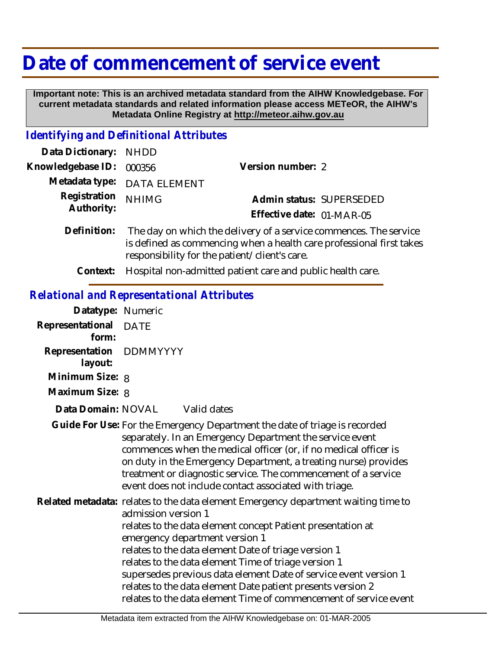## **Date of commencement of service event**

 **Important note: This is an archived metadata standard from the AIHW Knowledgebase. For current metadata standards and related information please access METeOR, the AIHW's Metadata Online Registry at http://meteor.aihw.gov.au**

## *Identifying and Definitional Attributes*

| Data Dictionary: NHDD      |                                                                   |                           |                                                                      |
|----------------------------|-------------------------------------------------------------------|---------------------------|----------------------------------------------------------------------|
| Knowledgebase ID:          | 000356                                                            | Version number: 2         |                                                                      |
|                            | Metadata type: DATA ELEMENT                                       |                           |                                                                      |
| Registration<br>Authority: | <b>NHIMG</b>                                                      |                           | Admin status: SUPERSEDED                                             |
|                            |                                                                   | Effective date: 01-MAR-05 |                                                                      |
| Definition:                | The day on which the delivery of a service commences. The service |                           | is defined as commencing when a health care professional first takes |

responsibility for the patient/client's care. **Context:** Hospital non-admitted patient care and public health care.

## *Relational and Representational Attributes*

| Datatype: Numeric                  |                                                                                                                                                                                                                                                                                                                                                                                                                                                                                                                                    |
|------------------------------------|------------------------------------------------------------------------------------------------------------------------------------------------------------------------------------------------------------------------------------------------------------------------------------------------------------------------------------------------------------------------------------------------------------------------------------------------------------------------------------------------------------------------------------|
| Representational DATE<br>form:     |                                                                                                                                                                                                                                                                                                                                                                                                                                                                                                                                    |
| Representation DDMMYYYY<br>layout: |                                                                                                                                                                                                                                                                                                                                                                                                                                                                                                                                    |
| Minimum Size: 8                    |                                                                                                                                                                                                                                                                                                                                                                                                                                                                                                                                    |
| Maximum Size: 8                    |                                                                                                                                                                                                                                                                                                                                                                                                                                                                                                                                    |
| Data Domain: NOVAL                 | Valid dates                                                                                                                                                                                                                                                                                                                                                                                                                                                                                                                        |
|                                    | Guide For Use: For the Emergency Department the date of triage is recorded<br>separately. In an Emergency Department the service event<br>commences when the medical officer (or, if no medical officer is<br>on duty in the Emergency Department, a treating nurse) provides<br>treatment or diagnostic service. The commencement of a service<br>event does not include contact associated with triage.                                                                                                                          |
|                                    | Related metadata: relates to the data element Emergency department waiting time to<br>admission version 1<br>relates to the data element concept Patient presentation at<br>emergency department version 1<br>relates to the data element Date of triage version 1<br>relates to the data element Time of triage version 1<br>supersedes previous data element Date of service event version 1<br>relates to the data element Date patient presents version 2<br>relates to the data element Time of commencement of service event |